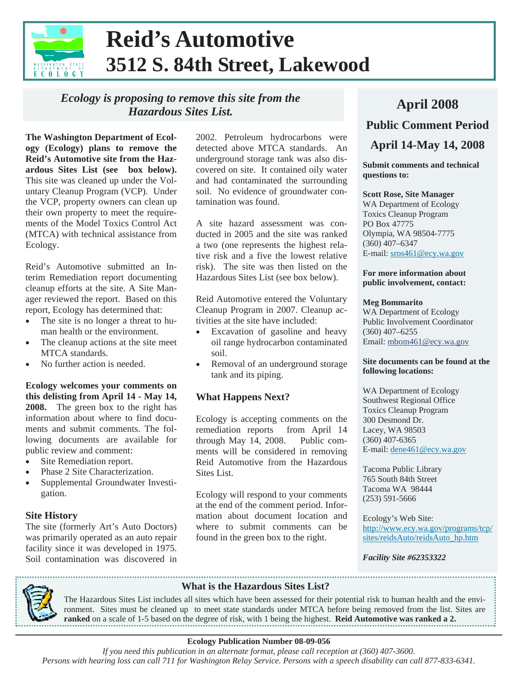

# **Reid's Automotive 3512 S. 84th Street, Lakewood**

# *Ecology is proposing to remove this site from the Hazardous Sites List.*

**The Washington Department of Ecol-** 2002. Petroleum hydrocarbons were<br> **April 14-May 14, 2008**<br> **April 14-May 14, 2008 ogy (Ecology) plans to remove the Reid's Automotive site from the Hazardous Sites List (see box below).**  This site was cleaned up under the Voluntary Cleanup Program (VCP). Under the VCP, property owners can clean up their own property to meet the requirements of the Model Toxics Control Act (MTCA) with technical assistance from Ecology.

Reid's Automotive submitted an Interim Remediation report documenting cleanup efforts at the site. A Site Manager reviewed the report. Based on this report, Ecology has determined that:

- The site is no longer a threat to human health or the environment.
- The cleanup actions at the site meet MTCA standards.
- No further action is needed.

**Ecology welcomes your comments on this delisting from April 14 - May 14, 2008.** The green box to the right has information about where to find documents and submit comments. The following documents are available for public review and comment:

- Site Remediation report.
- Phase 2 Site Characterization.
- Supplemental Groundwater Investigation.

#### **Site History**

The site (formerly Art's Auto Doctors) was primarily operated as an auto repair facility since it was developed in 1975. Soil contamination was discovered in 2002. Petroleum hydrocarbons were detected above MTCA standards. An underground storage tank was also discovered on site. It contained oily water and had contaminated the surrounding soil. No evidence of groundwater contamination was found.

A site hazard assessment was conducted in 2005 and the site was ranked a two (one represents the highest relative risk and a five the lowest relative risk). The site was then listed on the Hazardous Sites List (see box below).

Reid Automotive entered the Voluntary Cleanup Program in 2007. Cleanup activities at the site have included:

- Excavation of gasoline and heavy oil range hydrocarbon contaminated soil.
- Removal of an underground storage tank and its piping.

## **What Happens Next?**

Ecology is accepting comments on the remediation reports from April 14 through May 14, 2008. Public comments will be considered in removing Reid Automotive from the Hazardous Sites List.

Ecology will respond to your comments at the end of the comment period. Information about document location and where to submit comments can be found in the green box to the right.

# **April 2008**

**Public Comment Period** 

**Submit comments and technical questions to:** 

#### **Scott Rose, Site Manager**

WA Department of Ecology Toxics Cleanup Program PO Box 47775 Olympia, WA 98504-7775 (360) 407–6347 E-mail: sros461@ecy.wa.gov

#### **For more information about public involvement, contact:**

#### **Meg Bommarito**

WA Department of Ecology Public Involvement Coordinator (360) 407–6255 Email: mbom461@ecy.wa.gov

#### **Site documents can be found at the following locations:**

WA Department of Ecology Southwest Regional Office Toxics Cleanup Program 300 Desmond Dr. Lacey, WA 98503 (360) 407-6365 E-mail: dene461@ecy.wa.gov

Tacoma Public Library 765 South 84th Street Tacoma WA 98444 (253) 591-5666

Ecology's Web Site: http://www.ecy.wa.gov/programs/tcp/ sites/reidsAuto/reidsAuto\_hp.htm

*Facility Site #62353322* 



### **What is the Hazardous Sites List?**

The Hazardous Sites List includes all sites which have been assessed for their potential risk to human health and the environment. Sites must be cleaned up to meet state standards under MTCA before being removed from the list. Sites are **ranked** on a scale of 1-5 based on the degree of risk, with 1 being the highest. **Reid Automotive was ranked a 2.** 

#### **Ecology Publication Number 08-09-056**

 *If you need this publication in an alternate format, please call reception at (360) 407-3600. Persons with hearing loss can call 711 for Washington Relay Service. Persons with a speech disability can call 877-833-6341.*